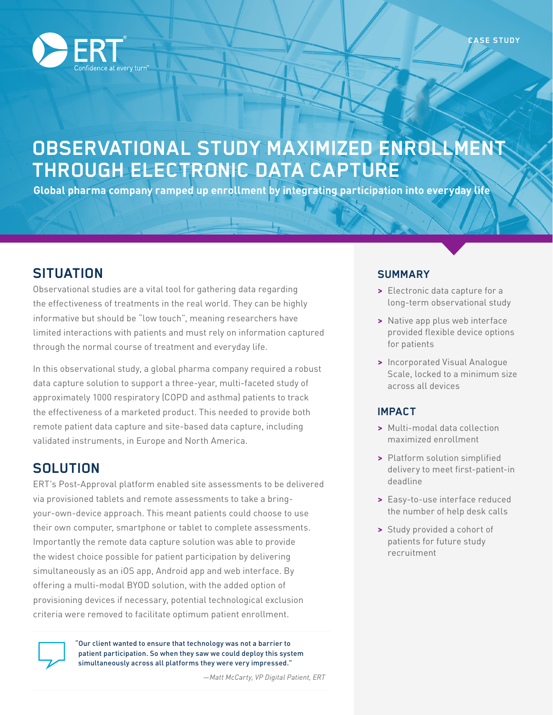

# **OBSERVATIONAL STUDY MAXIMIZED ENROLLMENT THROUGH ELECTRONIC DATA CAPTURE**

**Global pharma company ramped up enrollment by integrating participation into everyday life**

## **SITUATION**

Observational studies are a vital tool for gathering data regarding the effectiveness of treatments in the real world. They can be highly informative but should be "low touch", meaning researchers have limited interactions with patients and must rely on information captured through the normal course of treatment and everyday life.

In this observational study, a global pharma company required a robust data capture solution to support a three-year, multi-faceted study of approximately 1000 respiratory (COPD and asthma) patients to track the effectiveness of a marketed product. This needed to provide both remote patient data capture and site-based data capture, including validated instruments, in Europe and North America.

### **SOLUTION**

ERT's Post-Approval platform enabled site assessments to be delivered via provisioned tablets and remote assessments to take a bringyour-own-device approach. This meant patients could choose to use their own computer, smartphone or tablet to complete assessments. Importantly the remote data capture solution was able to provide the widest choice possible for patient participation by delivering simultaneously as an iOS app, Android app and web interface. By offering a multi-modal BYOD solution, with the added option of provisioning devices if necessary, potential technological exclusion criteria were removed to facilitate optimum patient enrollment.



"Our client wanted to ensure that technology was not a barrier to patient participation. So when they saw we could deploy this system simultaneously across all platforms they were very impressed."

#### **SUMMARY**

- **>** Electronic data capture for a long-term observational study
- **>** Native app plus web interface provided flexible device options for patients
- **>** Incorporated Visual Analogue Scale, locked to a minimum size across all devices

#### **IMPACT**

- **>** Multi-modal data collection maximized enrollment
- **>** Platform solution simplified delivery to meet first-patient-in deadline
- **>** Easy-to-use interface reduced the number of help desk calls
- **>** Study provided a cohort of patients for future study recruitment